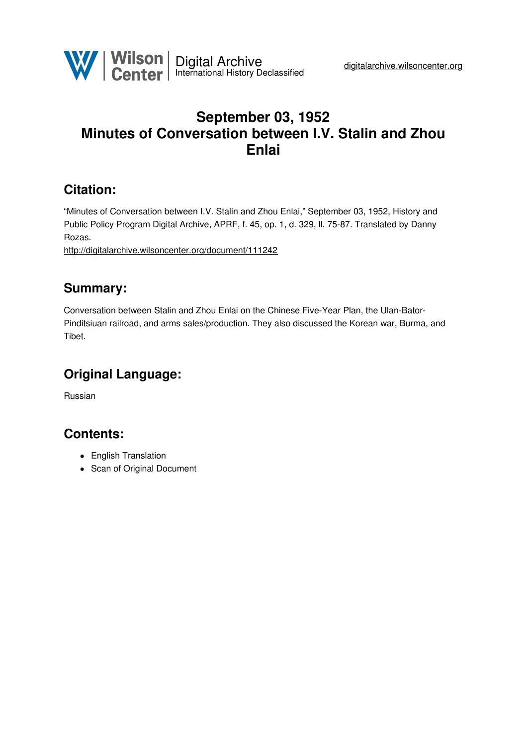

## **September 03, 1952 Minutes of Conversation between I.V. Stalin and Zhou Enlai**

## **Citation:**

"Minutes of Conversation between I.V. Stalin and Zhou Enlai," September 03, 1952, History and Public Policy Program Digital Archive, APRF, f. 45, op. 1, d. 329, ll. 75-87. Translated by Danny Rozas.

<http://digitalarchive.wilsoncenter.org/document/111242>

### **Summary:**

Conversation between Stalin and Zhou Enlai on the Chinese Five-Year Plan, the Ulan-Bator-Pinditsiuan railroad, and arms sales/production. They also discussed the Korean war, Burma, and Tibet.

# **Original Language:**

Russian

### **Contents:**

- English Translation
- Scan of Original Document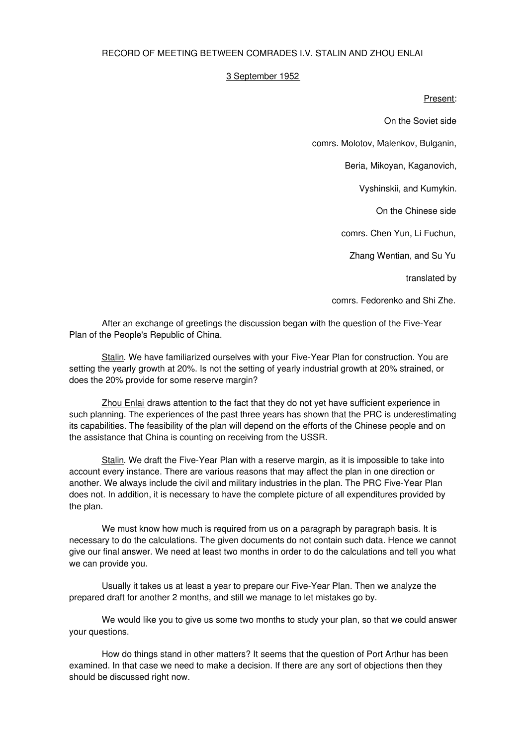### RECORD OF MEETING BETWEEN COMRADES I.V. STALIN AND ZHOU ENLAI

#### 3 September 1952

#### Present:

On the Soviet side

comrs. Molotov, Malenkov, Bulganin,

Beria, Mikoyan, Kaganovich,

Vyshinskii, and Kumykin.

On the Chinese side

comrs. Chen Yun, Li Fuchun,

Zhang Wentian, and Su Yu

translated by

comrs. Fedorenko and Shi Zhe.

After an exchange of greetings the discussion began with the question of the Five-Year Plan of the People's Republic of China.

Stalin. We have familiarized ourselves with your Five-Year Plan for construction. You are setting the yearly growth at 20%. Is not the setting of yearly industrial growth at 20% strained, or does the 20% provide for some reserve margin?

Zhou Enlai draws attention to the fact that they do not yet have sufficient experience in such planning. The experiences of the past three years has shown that the PRC is underestimating its capabilities. The feasibility of the plan will depend on the efforts of the Chinese people and on the assistance that China is counting on receiving from the USSR.

Stalin. We draft the Five-Year Plan with a reserve margin, as it is impossible to take into account every instance. There are various reasons that may affect the plan in one direction or another. We always include the civil and military industries in the plan. The PRC Five-Year Plan does not. In addition, it is necessary to have the complete picture of all expenditures provided by the plan.

We must know how much is required from us on a paragraph by paragraph basis. It is necessary to do the calculations. The given documents do not contain such data. Hence we cannot give our final answer. We need at least two months in order to do the calculations and tell you what we can provide you.

Usually it takes us at least a year to prepare our Five-Year Plan. Then we analyze the prepared draft for another 2 months, and still we manage to let mistakes go by.

We would like you to give us some two months to study your plan, so that we could answer your questions.

How do things stand in other matters? It seems that the question of Port Arthur has been examined. In that case we need to make a decision. If there are any sort of objections then they should be discussed right now.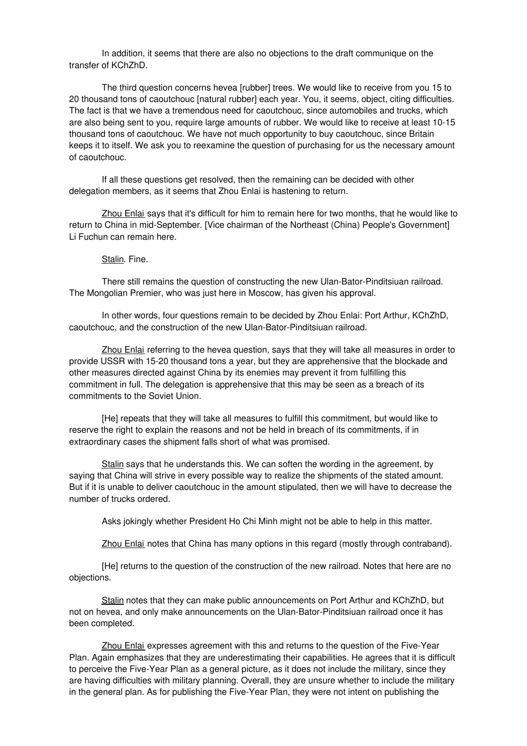In addition, it seems that there are also no objections to the draft communique on the transfer of KChZhD.

The third question concerns hevea [rubber] trees. We would like to receive from you 15 to 20 thousand tons of caoutchouc [natural rubber] each year. You, it seems, object, citing difficulties. The fact is that we have a tremendous need for caoutchouc, since automobiles and trucks, which are also being sent to you, require large amounts of rubber. We would like to receive at least 10-15 thousand tons of caoutchouc. We have not much opportunity to buy caoutchouc, since Britain keeps it to itself. We ask you to reexamine the question of purchasing for us the necessary amount of caoutchouc.

If all these questions get resolved, then the remaining can be decided with other delegation members, as it seems that Zhou Enlai is hastening to return.

Zhou Enlai says that it's difficult for him to remain here for two months, that he would like to return to China in mid-September. [Vice chairman of the Northeast (China) People's Government] Li Fuchun can remain here.

#### Stalin. Fine.

There still remains the question of constructing the new Ulan-Bator-Pinditsiuan railroad. The Mongolian Premier, who was just here in Moscow, has given his approval.

In other words, four questions remain to be decided by Zhou Enlai: Port Arthur, KChZhD, caoutchouc, and the construction of the new Ulan-Bator-Pinditsiuan railroad.

Zhou Enlai referring to the hevea question, says that they will take all measures in order to provide USSR with 15-20 thousand tons a year, but they are apprehensive that the blockade and other measures directed against China by its enemies may prevent it from fulfilling this commitment in full. The delegation is apprehensive that this may be seen as a breach of its commitments to the Soviet Union.

[He] repeats that they will take all measures to fulfill this commitment, but would like to reserve the right to explain the reasons and not be held in breach of its commitments, if in extraordinary cases the shipment falls short of what was promised.

Stalin says that he understands this. We can soften the wording in the agreement, by saying that China will strive in every possible way to realize the shipments of the stated amount. But if it is unable to deliver caoutchouc in the amount stipulated, then we will have to decrease the number of trucks ordered.

Asks jokingly whether President Ho Chi Minh might not be able to help in this matter.

Zhou Enlai notes that China has many options in this regard (mostly through contraband).

[He] returns to the question of the construction of the new railroad. Notes that here are no objections.

Stalin notes that they can make public announcements on Port Arthur and KChZhD, but not on hevea, and only make announcements on the Ulan-Bator-Pinditsiuan railroad once it has been completed.

Zhou Enlai expresses agreement with this and returns to the question of the Five-Year Plan. Again emphasizes that they are underestimating their capabilities. He agrees that it is difficult to perceive the Five-Year Plan as a general picture, as it does not include the military, since they are having difficulties with military planning. Overall, they are unsure whether to include the military in the general plan. As for publishing the Five-Year Plan, they were not intent on publishing the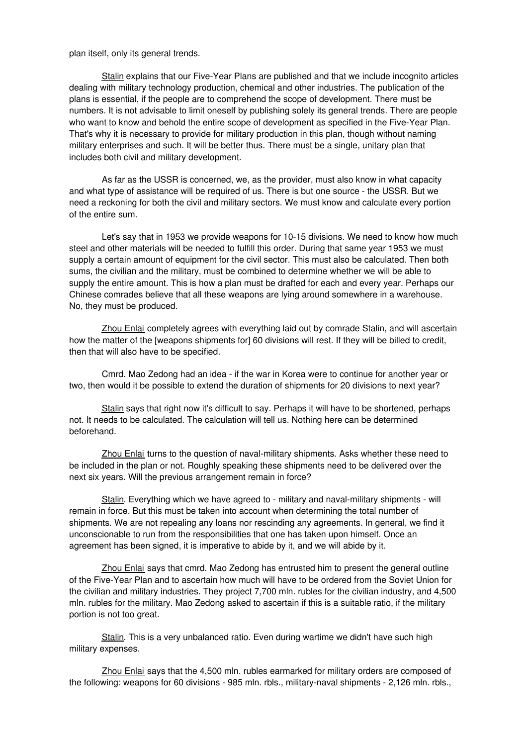plan itself, only its general trends.

Stalin explains that our Five-Year Plans are published and that we include incognito articles dealing with military technology production, chemical and other industries. The publication of the plans is essential, if the people are to comprehend the scope of development. There must be numbers. It is not advisable to limit oneself by publishing solely its general trends. There are people who want to know and behold the entire scope of development as specified in the Five-Year Plan. That's why it is necessary to provide for military production in this plan, though without naming military enterprises and such. It will be better thus. There must be a single, unitary plan that includes both civil and military development.

As far as the USSR is concerned, we, as the provider, must also know in what capacity and what type of assistance will be required of us. There is but one source - the USSR. But we need a reckoning for both the civil and military sectors. We must know and calculate every portion of the entire sum.

Let's say that in 1953 we provide weapons for 10-15 divisions. We need to know how much steel and other materials will be needed to fulfill this order. During that same year 1953 we must supply a certain amount of equipment for the civil sector. This must also be calculated. Then both sums, the civilian and the military, must be combined to determine whether we will be able to supply the entire amount. This is how a plan must be drafted for each and every year. Perhaps our Chinese comrades believe that all these weapons are lying around somewhere in a warehouse. No, they must be produced.

Zhou Enlai completely agrees with everything laid out by comrade Stalin, and will ascertain how the matter of the [weapons shipments for] 60 divisions will rest. If they will be billed to credit, then that will also have to be specified.

Cmrd. Mao Zedong had an idea - if the war in Korea were to continue for another year or two, then would it be possible to extend the duration of shipments for 20 divisions to next year?

Stalin says that right now it's difficult to say. Perhaps it will have to be shortened, perhaps not. It needs to be calculated. The calculation will tell us. Nothing here can be determined beforehand.

Zhou Enlai turns to the question of naval-military shipments. Asks whether these need to be included in the plan or not. Roughly speaking these shipments need to be delivered over the next six years. Will the previous arrangement remain in force?

Stalin. Everything which we have agreed to - military and naval-military shipments - will remain in force. But this must be taken into account when determining the total number of shipments. We are not repealing any loans nor rescinding any agreements. In general, we find it unconscionable to run from the responsibilities that one has taken upon himself. Once an agreement has been signed, it is imperative to abide by it, and we will abide by it.

Zhou Enlai says that cmrd. Mao Zedong has entrusted him to present the general outline of the Five-Year Plan and to ascertain how much will have to be ordered from the Soviet Union for the civilian and military industries. They project 7,700 mln. rubles for the civilian industry, and 4,500 mln. rubles for the military. Mao Zedong asked to ascertain if this is a suitable ratio, if the military portion is not too great.

Stalin. This is a very unbalanced ratio. Even during wartime we didn't have such high military expenses.

Zhou Enlai says that the 4,500 mln. rubles earmarked for military orders are composed of the following: weapons for 60 divisions - 985 mln. rbls., military-naval shipments - 2,126 mln. rbls.,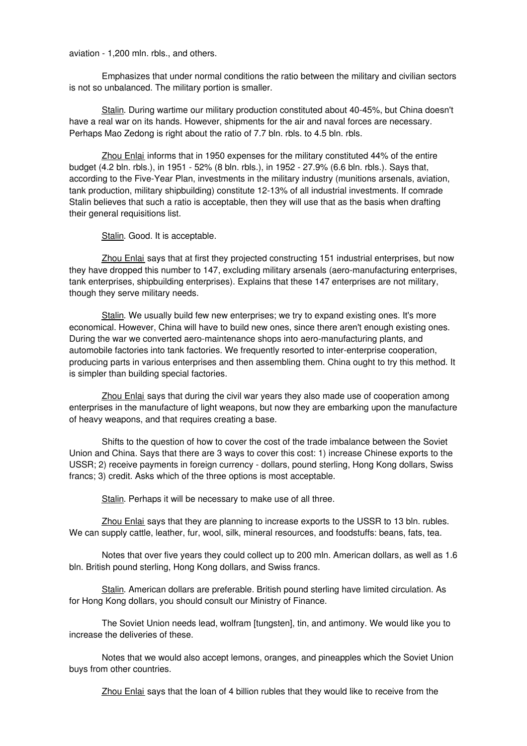aviation - 1,200 mln. rbls., and others.

Emphasizes that under normal conditions the ratio between the military and civilian sectors is not so unbalanced. The military portion is smaller.

Stalin. During wartime our military production constituted about 40-45%, but China doesn't have a real war on its hands. However, shipments for the air and naval forces are necessary. Perhaps Mao Zedong is right about the ratio of 7.7 bln. rbls. to 4.5 bln. rbls.

Zhou Enlai informs that in 1950 expenses for the military constituted 44% of the entire budget (4.2 bln. rbls.), in 1951 - 52% (8 bln. rbls.), in 1952 - 27.9% (6.6 bln. rbls.). Says that, according to the Five-Year Plan, investments in the military industry (munitions arsenals, aviation, tank production, military shipbuilding) constitute 12-13% of all industrial investments. If comrade Stalin believes that such a ratio is acceptable, then they will use that as the basis when drafting their general requisitions list.

Stalin. Good. It is acceptable.

Zhou Enlai says that at first they projected constructing 151 industrial enterprises, but now they have dropped this number to 147, excluding military arsenals (aero-manufacturing enterprises, tank enterprises, shipbuilding enterprises). Explains that these 147 enterprises are not military, though they serve military needs.

Stalin. We usually build few new enterprises; we try to expand existing ones. It's more economical. However, China will have to build new ones, since there aren't enough existing ones. During the war we converted aero-maintenance shops into aero-manufacturing plants, and automobile factories into tank factories. We frequently resorted to inter-enterprise cooperation, producing parts in various enterprises and then assembling them. China ought to try this method. It is simpler than building special factories.

Zhou Enlai says that during the civil war years they also made use of cooperation among enterprises in the manufacture of light weapons, but now they are embarking upon the manufacture of heavy weapons, and that requires creating a base.

Shifts to the question of how to cover the cost of the trade imbalance between the Soviet Union and China. Says that there are 3 ways to cover this cost: 1) increase Chinese exports to the USSR; 2) receive payments in foreign currency - dollars, pound sterling, Hong Kong dollars, Swiss francs; 3) credit. Asks which of the three options is most acceptable.

Stalin. Perhaps it will be necessary to make use of all three.

Zhou Enlai says that they are planning to increase exports to the USSR to 13 bln. rubles. We can supply cattle, leather, fur, wool, silk, mineral resources, and foodstuffs: beans, fats, tea.

Notes that over five years they could collect up to 200 mln. American dollars, as well as 1.6 bln. British pound sterling, Hong Kong dollars, and Swiss francs.

Stalin. American dollars are preferable. British pound sterling have limited circulation. As for Hong Kong dollars, you should consult our Ministry of Finance.

The Soviet Union needs lead, wolfram [tungsten], tin, and antimony. We would like you to increase the deliveries of these.

Notes that we would also accept lemons, oranges, and pineapples which the Soviet Union buys from other countries.

Zhou Enlai says that the loan of 4 billion rubles that they would like to receive from the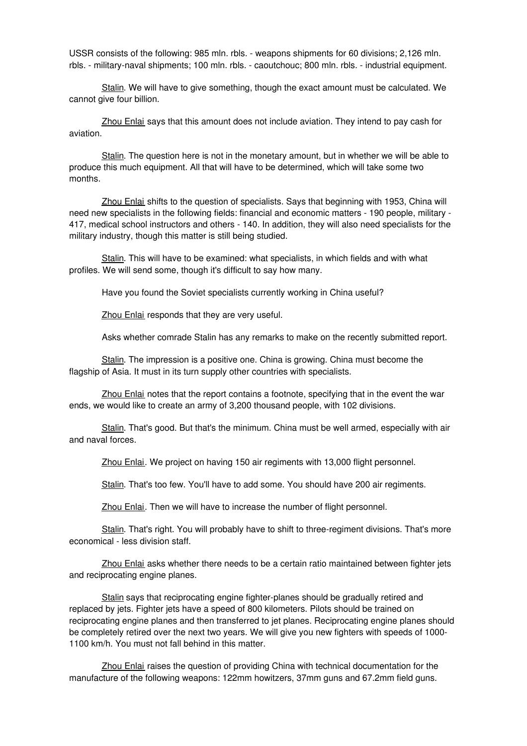USSR consists of the following: 985 mln. rbls. - weapons shipments for 60 divisions; 2,126 mln. rbls. - military-naval shipments; 100 mln. rbls. - caoutchouc; 800 mln. rbls. - industrial equipment.

Stalin. We will have to give something, though the exact amount must be calculated. We cannot give four billion.

Zhou Enlai says that this amount does not include aviation. They intend to pay cash for aviation.

Stalin. The question here is not in the monetary amount, but in whether we will be able to produce this much equipment. All that will have to be determined, which will take some two months.

Zhou Enlai shifts to the question of specialists. Says that beginning with 1953, China will need new specialists in the following fields: financial and economic matters - 190 people, military - 417, medical school instructors and others - 140. In addition, they will also need specialists for the military industry, though this matter is still being studied.

Stalin. This will have to be examined: what specialists, in which fields and with what profiles. We will send some, though it's difficult to say how many.

Have you found the Soviet specialists currently working in China useful?

Zhou Enlai responds that they are very useful.

Asks whether comrade Stalin has any remarks to make on the recently submitted report.

Stalin. The impression is a positive one. China is growing. China must become the flagship of Asia. It must in its turn supply other countries with specialists.

Zhou Enlai notes that the report contains a footnote, specifying that in the event the war ends, we would like to create an army of 3,200 thousand people, with 102 divisions.

Stalin. That's good. But that's the minimum. China must be well armed, especially with air and naval forces.

Zhou Enlai. We project on having 150 air regiments with 13,000 flight personnel.

Stalin. That's too few. You'll have to add some. You should have 200 air regiments.

Zhou Enlai. Then we will have to increase the number of flight personnel.

Stalin. That's right. You will probably have to shift to three-regiment divisions. That's more economical - less division staff.

Zhou Enlai asks whether there needs to be a certain ratio maintained between fighter jets and reciprocating engine planes.

Stalin says that reciprocating engine fighter-planes should be gradually retired and replaced by jets. Fighter jets have a speed of 800 kilometers. Pilots should be trained on reciprocating engine planes and then transferred to jet planes. Reciprocating engine planes should be completely retired over the next two years. We will give you new fighters with speeds of 1000- 1100 km/h. You must not fall behind in this matter.

Zhou Enlai raises the question of providing China with technical documentation for the manufacture of the following weapons: 122mm howitzers, 37mm guns and 67.2mm field guns.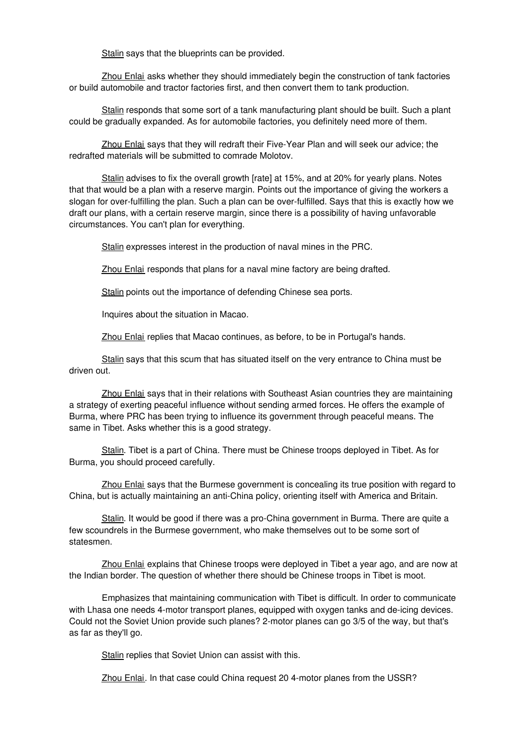Stalin says that the blueprints can be provided.

Zhou Enlai asks whether they should immediately begin the construction of tank factories or build automobile and tractor factories first, and then convert them to tank production.

Stalin responds that some sort of a tank manufacturing plant should be built. Such a plant could be gradually expanded. As for automobile factories, you definitely need more of them.

Zhou Enlai says that they will redraft their Five-Year Plan and will seek our advice; the redrafted materials will be submitted to comrade Molotov.

Stalin advises to fix the overall growth [rate] at 15%, and at 20% for yearly plans. Notes that that would be a plan with a reserve margin. Points out the importance of giving the workers a slogan for over-fulfilling the plan. Such a plan can be over-fulfilled. Says that this is exactly how we draft our plans, with a certain reserve margin, since there is a possibility of having unfavorable circumstances. You can't plan for everything.

Stalin expresses interest in the production of naval mines in the PRC.

Zhou Enlai responds that plans for a naval mine factory are being drafted.

Stalin points out the importance of defending Chinese sea ports.

Inquires about the situation in Macao.

Zhou Enlai replies that Macao continues, as before, to be in Portugal's hands.

Stalin says that this scum that has situated itself on the very entrance to China must be driven out.

Zhou Enlai says that in their relations with Southeast Asian countries they are maintaining a strategy of exerting peaceful influence without sending armed forces. He offers the example of Burma, where PRC has been trying to influence its government through peaceful means. The same in Tibet. Asks whether this is a good strategy.

Stalin. Tibet is a part of China. There must be Chinese troops deployed in Tibet. As for Burma, you should proceed carefully.

Zhou Enlai says that the Burmese government is concealing its true position with regard to China, but is actually maintaining an anti-China policy, orienting itself with America and Britain.

Stalin. It would be good if there was a pro-China government in Burma. There are quite a few scoundrels in the Burmese government, who make themselves out to be some sort of statesmen.

Zhou Enlai explains that Chinese troops were deployed in Tibet a year ago, and are now at the Indian border. The question of whether there should be Chinese troops in Tibet is moot.

Emphasizes that maintaining communication with Tibet is difficult. In order to communicate with Lhasa one needs 4-motor transport planes, equipped with oxygen tanks and de-icing devices. Could not the Soviet Union provide such planes? 2-motor planes can go 3/5 of the way, but that's as far as they'll go.

Stalin replies that Soviet Union can assist with this.

Zhou Enlai. In that case could China request 20 4-motor planes from the USSR?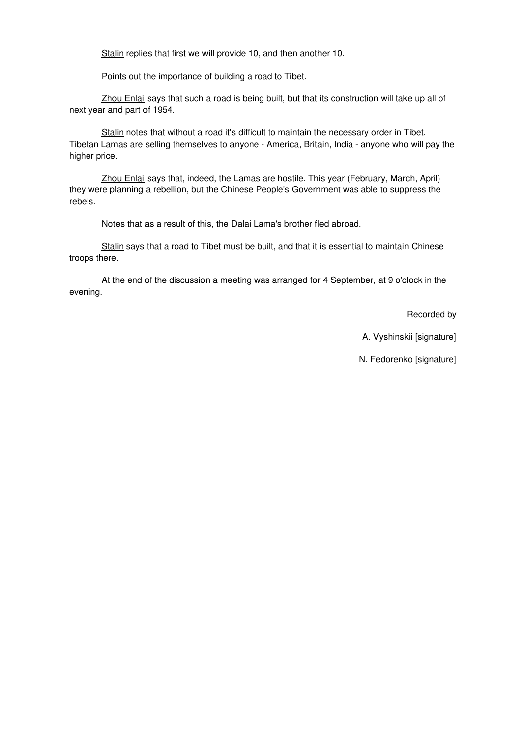Stalin replies that first we will provide 10, and then another 10.

Points out the importance of building a road to Tibet.

Zhou Enlai says that such a road is being built, but that its construction will take up all of next year and part of 1954.

Stalin notes that without a road it's difficult to maintain the necessary order in Tibet. Tibetan Lamas are selling themselves to anyone - America, Britain, India - anyone who will pay the higher price.

Zhou Enlai says that, indeed, the Lamas are hostile. This year (February, March, April) they were planning a rebellion, but the Chinese People's Government was able to suppress the rebels.

Notes that as a result of this, the Dalai Lama's brother fled abroad.

Stalin says that a road to Tibet must be built, and that it is essential to maintain Chinese troops there.

At the end of the discussion a meeting was arranged for 4 September, at 9 o'clock in the evening.

Recorded by

A. Vyshinskii [signature]

N. Fedorenko [signature]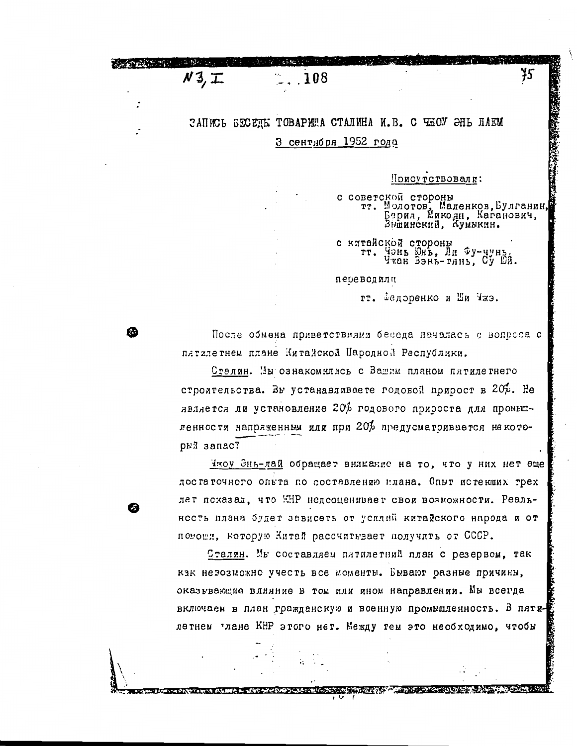ЗАПИСЬ БЕСЕЛЫ ТОВАРИША СТАЛИНА И.В. С ЧЖОУ ЭНЬ ЛАЕМ З сентября 1952 года

 $.108$ 

 $N3, T$ 

m

Поисутствовали:

с советской стороны<br>
тт. Молотов, Маленков, Булганин<br>
Берия, Микоян, Каганович,<br>Вышинский, Кумыкин.

75

с китайской стороны Чэнь Юнь, Ли Фу-чунь.<br>Чжан Вэнь-тянь, Су Юй. TT.

переводили

тт. Еедоренко и Ши Чжэ.

После обмена приветствиями беседа началась с вопроса о пятялетнем плане Китайской Пародной Республики.

Стелин. Мы ознакомились с Вашим планом пятилетнего строительства. Вы устанавливаете годовой прирост в 20 $\phi$ . Не является ли установление 20% годового прироста для промышленности напряженным или при 20% предусматривается некоторый запас?

Чжоу Энь-лай обращает внимание на то, что у них нет еще достаточного опьта по составлению илана. Опыт истекших трех лет показал, что HHP недооценивает свои возможности. Реальность плана будет зависеть от усилий китайского народа и от помоши, которую Китай рассчитывает получить от СССР.

Сталин. Мы составляем питилетний план с резервом, так как невозможно учесть все моменты. Бывают разные причины, оказывающие влияние в том или яном направлении. Мы всегда включаем в план гражданскую и военную промышленность. В пятилетнем рлане KHP этого нет. Между тем это необходимо, чтобы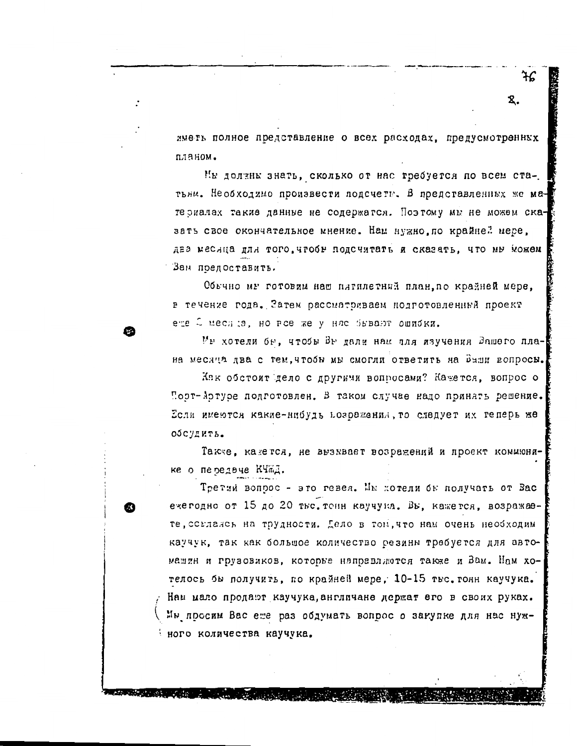ጻ.

иметь полное представление о всех расходах, предусмотренных планом.

Им должны знать, сколько от нас требуется по всем статьям. Необходимо произвести подсчеты. В представленных же материалах такие данные не содержатся. Поэтому мы не можем сказать свое окончательное мнение. Нам нужно, по крайней мере, два месяца для того, чтобы подсчитать и сказать, что мы можем Зам поелоставить.

Обычно мы готовим наш пятилетний план, по крайней мере, в течение года. Затем рассматриваем подготовленный проект ете 2 меся ;а, но все же у нас бывают ошибки.

Мы хотели бы, чтобы Вы дали нам для изучения Вашего плана месяца два с тем, чтобы мы смогли ответить на Ваши вопросы.

Как обстоит дело с другими вопросами? Кажется, вопрос о Поэт-Артуре подготовлен. В таком случае надо принять решение. Если имеются какие-нибудь возражения, то следует их теперь же обсудить.

Также, какется, не вызывает возражений и проект коммюнике о передаче КЧАД.

Третий вопрос - это гевея. Мы котели бы получать от Вас ежегодно от 15 до 20 тыс. тонн каучука. Вы, кажется, возражаете, совлаясь на трудности. Дело в том, что нам очень необходим каучук, так как большое количество резины требуется для автомашин и грузовиков, которые направлиются также и Вам. Нам хотелось бы получить, по крайней мере, 10-15 тыс. тонн каучука. Нам мало продают каучука, англичане держат его в своих руках. Мы просим Вас еже раз обдумать вопрос о закупке для нас нужного количества каучука.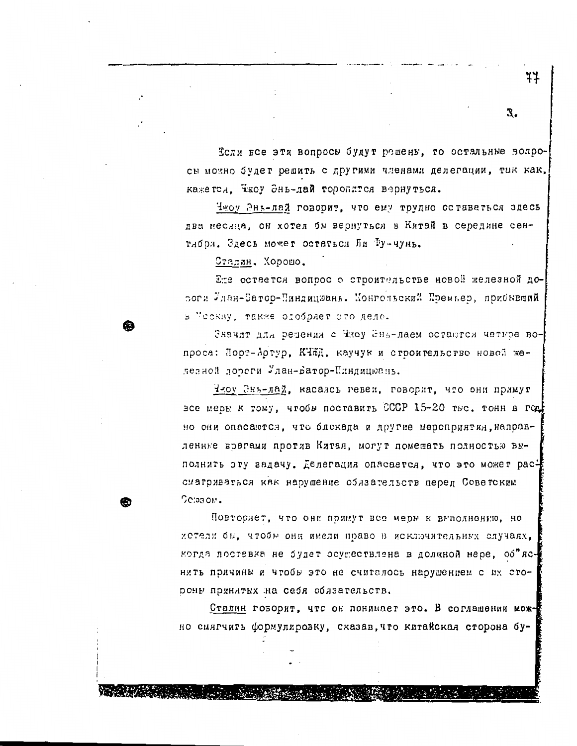Если все эти вопросы будут решены, то остальные вопросы можно будет решить с другими членами делегации, так как, кажется. Ежоу Энь-лай торопится вернуться.

Чжоу Энь-лай говорит, что ему трудно оставаться здесь два несяца, он хотел бы вернуться в Китай в середине сентибря. Здесь может остаться Ли Ту-чунь.

Сталин. Хорошо.

Ете остается вопрос о строительстве новой железной довоги Илан-Батор-Пиндицюань. Монгольский Премьер, прибывший в "сскву, также отобряет это дело.

Значит для редения с Чжоу Энь-лаем остаются четьре вопроса: Порт-Артур, КЧЖД, каучук и строительство новой железной дороги Улан-Батор-Пиндицюань.

Чеоу Энь-дай, касалсь гевеи, говорит, что они примут все меры к тому, чтобы поставить СССР 15-20 тыс. тонн в год но они опасаются, что блокада и другие мероприятия, направленные возгами против Китая, могут помешать полностью выполнить эту задачу. Еслегация опасается, что это может рассматриваться как нарушение облаательств перед Советским Сервом.

Повторяет, что они поямут все меры к выполнению, но хотели бы, чтобы они имели право в исключительных случаях, когда постевка не будет осуществлена в должной мере, об"яснить причины и чтобы это не считалось нарушением с их этороны принятых на себя облаательств.

Сталин говорит, что он понимает это. В соглашении можно сиягчить формулировку, сказав, что китайская сторона бу-

3.

77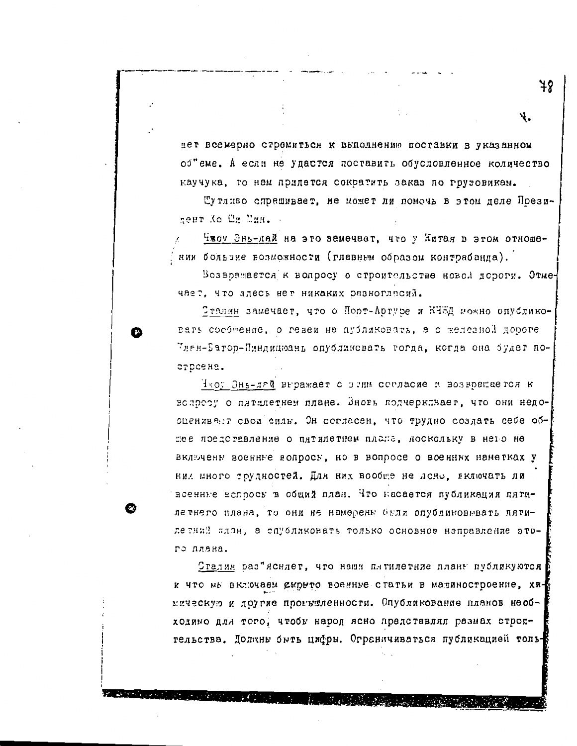дет всемерно стромиться к выполнению поставки в указанном об"еме. А если не удастся поставить обусловленное количество каучука, то нам придется сократить заказ по грузовикам.

Шутливо спрашивает, не может ли помочь в этом деле Презиneur Ko Un Mun.

Чжоу Энь-лай на это замечает, что у Китая в этом отношении больчие возможности (главным образом контрабанда).

Возвражается к вопросу о строительстве новой дороги. Отмечает, что здесь нег никаких разногласий.

Этелин замечает, что о Порт-Артуре и КЧЖД можно опубликовать сообщение, о гевеи не публиковать, а о железной дороге Илен-Батор-Пиндицюань опубликовать тогда, когда она будет по-CTDCSHS.

Чтоу Энь-лай выражает с этим согласие и возврещается к вопрезу о пятилетнем плане. Зновь подчеркляает, что они недооценивает свои силь. Он согласен, что трудно создать себе обжее представление о пятилетнем плаже, лоскольку в него не включены военные вопросы, но в вопросе о военных наметках у них много трудностей. Для них вообще не лено, включать ли всенные вспросы в общий план. Что касается публикации пятилетнего плана, то они не намерены были опубликовывать пятилетний план, а спубликовать только основное напоавление этого плана.

Сталин раз"ясндет, что наши плтилетние планы публикуются и что мы включаем скрыто военные статьи в малиностроение, хиинческую и другие прогвшленности. Опубликование планов необходино для того, чтобы народ ясно представлял размах строительства. Долкны быть цифры. Ограничиваться публикацией толь-

78

Ψ.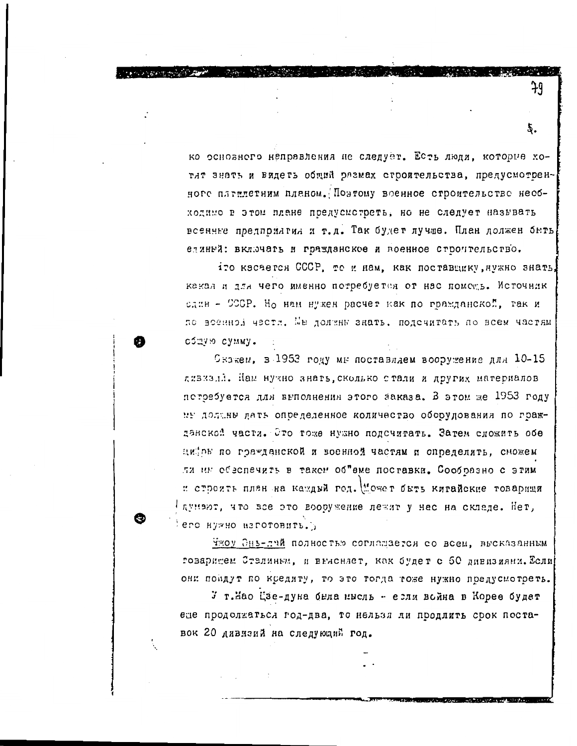ко основного неправления не следует. Есть люди, которые хотят знать и видеть общий размах строительства, предусмотренного пятилетним планом. Поэтому военное строительство необходимо в этом плане предусмотреть, но не следует называть всенные предприятия и т.д. Так будет лучше. План должен быть единый: включать и гражданское и военное стволтельство.

79

*CALL AT STATISTICS* 

iro касается СССР, то и нам, как поставщику, нужно знать, какал и для чего именно потребуется от нас помошь. Источник слин - СССР. Но нам нужен расчет как по гражданской, так и по всенной части. Мы должны знать, подсчитать по всем частям сбдую сумму.

Скожем, в 1953 году мы поставляем вооружение для 10-15 дивизий. Нам нужно знать, сколько стали и других материалов потребуется для выполнения этого заказа. В этом же 1953 году ив доланы дать определенное количество оборудования по гражданской части. Это тоже нужно подсчитать. Затем сложить обе цийов по гражданской и военной частям и определить, сможем ли ин обеспечить в таком об"еме поставки. Сообразно с этим и стоетть план на каждый год. Может быть китайские товарищи Глунеют, что все это вооружение лежит у нас на складе. Нет, его нужно изготовить.

Чжоу Энь-лий полностью соглашается со всем, высказанным гозаришем Сталиным, и выленлет, как будет с 50 дивизиями. Если они поидут по кредиту, то это тогда тоже нужно предусмотреть.

У т.Мао Цзе-дуна была имсль - если война в Корее будет еде продолжаться год-два, то нельзя ли продлить срок поставок 20 дивизий на следующий год.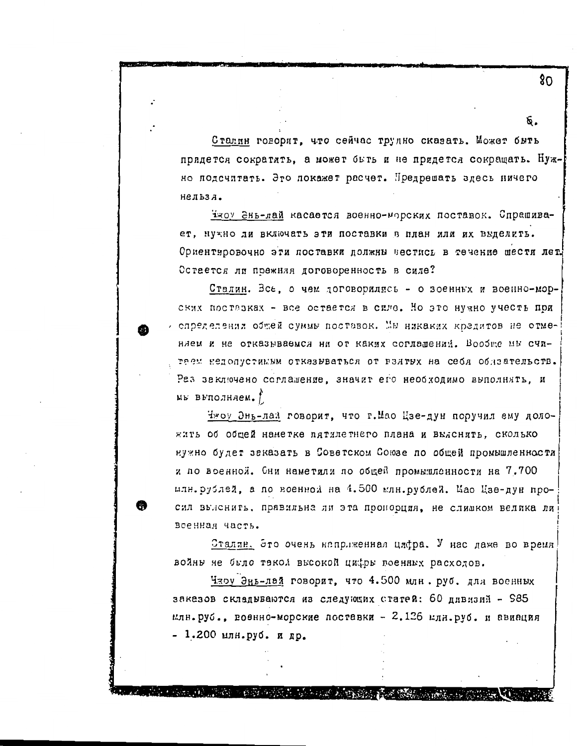Сталин говорит, что сейчас трудно сказать. Может быть придется сократить, а может быть и не придется сокращать. Нужно подсчитать. Это покажет расчет. Предрешать здесь ничего нельза.

чжоу Энь-дай касается военно-морских поставок. Спрашивает, нужно ли включать эти поставки в план или их выделить. Ориентировочно эти поставки должны вестись в течение шести лет. Остается ли прежняя договоренность в силе?

Сталин. Все, о чем договорились - о военных и военно-морских поставках - все остается в силе. Но это нужно учесть при лепределения общей суммы поставок. Мы никаких кредитов не отменлем и не отказываемся ни от каких соглашений. Вообще мы считаем недопустимым отказываться от взятых на себя обизательств. Раз заключено соглашение, значит его необходимо выполнять, и мы выполняем.  $f$ 

Чжоу Энь-лай говорит, что г. Мао Цзе-дун поручил ему доложить об общей наметке пятилетнего плана и выяснить, сколько нужно будет заказать в Советском Союзе по общей промышленности и по военной. Сни наметили по обцей промышленности на 7.700 илн. рублей, а по военной на 4.500 млн. рублей. Мао Цзе-дун просил выленить, правильна ли эта пронооция, не слишком велика ли военная часть.

Сталян. Это очень напрлженная цифра. У нас даже во время войны не было такой высокой цифры поенных расходов.

Чжоу Энь-лай говорит, что 4.500 млн. руб. для военных заказов складываются из следующих статей: 60 дивизий - 985 илв. руб., военно-морские поставки - 2.126 илн. руб. и авиация - 1.200 млн.руб. и др.

The children in the metal and in the communication

80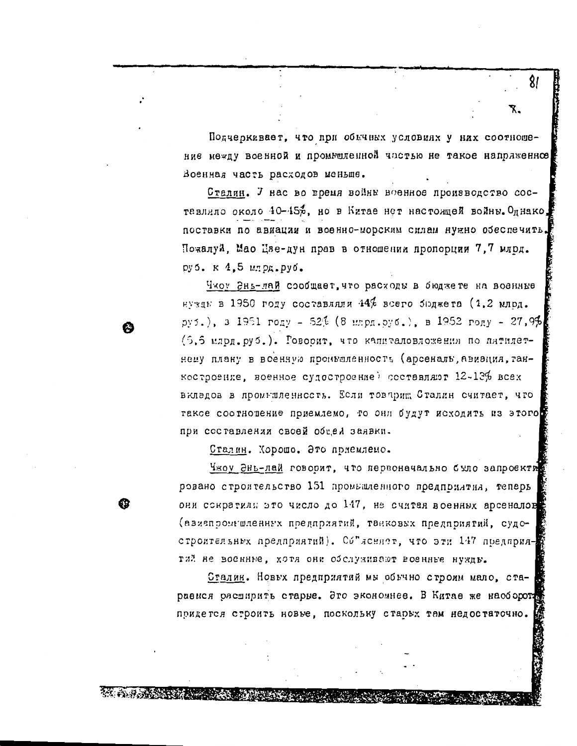Подчеркивает, что при обычных условиях у них соотношение между военной и промышленной частью не такое напряженное Военная часть расходов меньше.

Сталин. У нас во время войны военное производство составляло около 40-45%, но в Китае нет настоящей войны. Однако, поставки по авиации и военно-морским силам нужно обеспечить. Пожалуй, Мао Цве-дун прав в отношении пропорции 7.7 млрд. руб. к 4,5 млрд. руб.

Чжоу Энь-лай сообщает, что расходы в бюджете на военные нужды в 1950 году составляли 44% всего бюджета (1.2 млрд.  $py5.$ ), 3 1951  $pogy - 52\frac{7}{6}$  (8  $mnpq.py6.$ ), B 1952  $pony - 27.9\frac{4}{6}$ (5.5 млрд.руб.). Говорит, что капиталовложения по пятилетнему плану в военную проиваленность (арсеналь, авивция, танкостроение, военное судостроение) осставляют 12-13% всех вкладов в промышленность. Если товарищ Сталин считает, что такое соотношение приемлемо, то они будут исходить из этого при составлении своей общей заявки.

Сталин. Хорошо. Это приемлемо.

G)

**WEIGHT AND STREET** 

Чжоу Энь-лай говорит, что первоначально было запроекти ровано строительство 151 промышленного предприлтил, теперь они сократилы это число до 147, не считая военных арсеналов (ввиепромишленных предприятий, танковых предприятий, судостроительных предприятий). Со"леняет, что эти 147 поедприятий не воснине, хотя они обслуживают военные нужды.

Сталин. Новых предприятий мы обычно строим мало, стараемся растирить старые. Это экономнее. В Китае же наоборот придется строить новые, поскольку старых там недостаточно.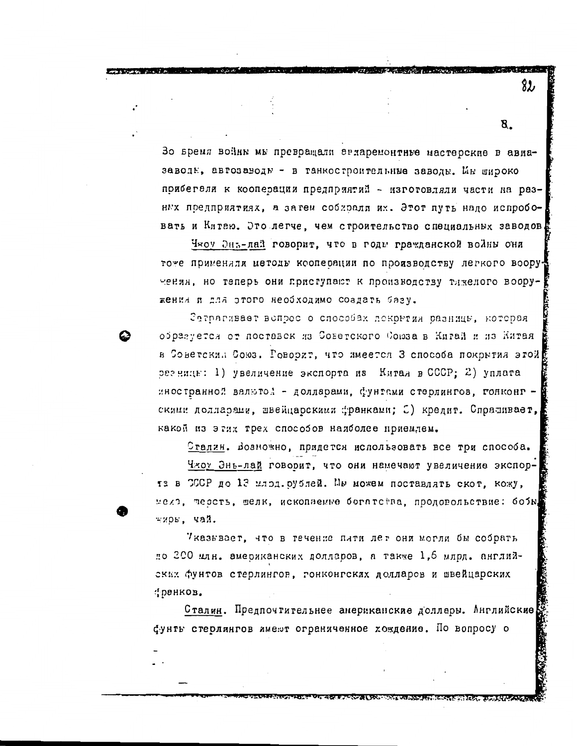Зо время войны мы превращали эгларемонтные мастерские в авиазаводы, автозаводы - в танкостроительные заводы. Ин широко прибегели к кооперации предпряятий - изготовляли части на разных предприятиях, а затем собирали их. Этот путь надо испробовать и Китею. Это легче, чем строительство специальных заводов.

Чтоу Энъ-лай говорит, что в годы гражданской войны они тоже применяли методы кооперации по производству легкого вооручения, но теперь они приступают к производству тижелого вооружения и для этого необходимо создать базу.

Затрагивает вспрос о способах поконтия разницы, которая образуется от поставск из Советского Союза в Китай и из Китая в Советский Союз. Говорит, что имеется З способа покрытия этой резницы: 1) увеличение экспорта из Китая в СССР; 2) уплата иностранной валютой - доллавами, фунтами стерлингов, гонконг скими долларами, швейцарскими франками; 3) кредит. Спрашивает, какой из этих трех способов наиболее приемлем.

Сталин. Возножно, придется использовать все три способа. Чжоу Энь-лай говорит, что они намечают увеличение экспорта в СССР до 13 илод. рублей. Мы можем поставлять скот, кожу, меля, терсть, шелк, ископаемые богатства, продовольствие: бобы, жирь, чай.

7казывает, что в течение пяти лет они могли бы собрать до 200 млн. американских долларов, а также 1,6 млрд. английскых фунтов стерлингов, гонконгских долларов и швейцарских : ранков.

Сталин. Предпочтительнее американские доллары. Английские фунть стерлингов имеют ограниченное хождение. По вопросу о

82

8.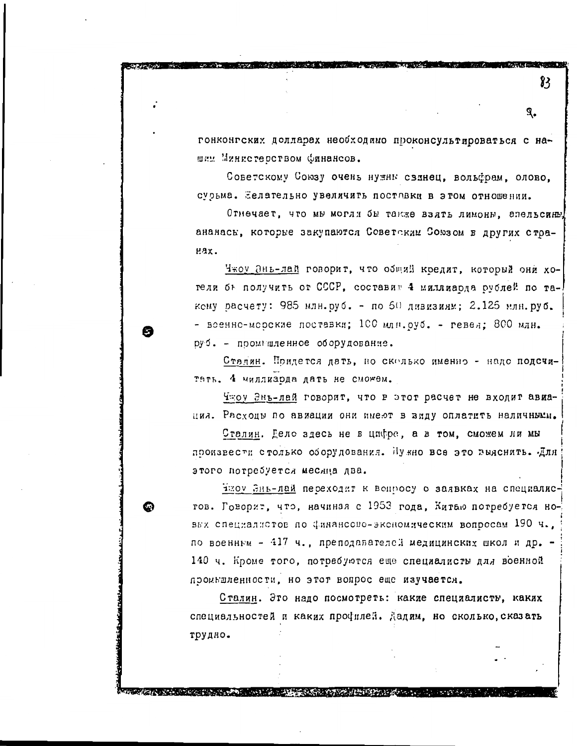гонконгских долларах необходимо проконсультироваться с нашим Министерством Финансов.

Советскому Союзу очень нужим свинец, вольфрам, олово. сурьма. Нелательно увеличить поставки в этом отношении.

Отнечает, что мы могли бы также взять лимоны, эпельсины ананась, которые закупаются Советским Союзом в других стра-Hax.

Чжоу Энь-лай говорит, что общий коедит, который они хотели бъ получить от СССР, составин 4 миллиарда рублей по такому расчету: 985 млн.руб. - по 50 дивизиям; 2.125 млн.руб. - всенно-морские поставки; 100 млн.руб. - гевеи; 800 млн. руб. - поомниленное оборудование.

m

⋒

Сталин. Придется дать, но сколько именно - надо подсчитать. 4 миллиарда дать не сможем.

Чжоу Энь-лай говорит, что в этот расчет не входит авиация. Расходы по авиации они имеют в виду оплатить наличнымы.

Сталин. Дело здесь не в цифре, а в том, сможем ли мы поокзвести столько оборудования. Пужно все это выяснить. Для этого потребуется месяца два.

нию Энь-лай переходит к вопросу о заявках на специалисгов. Говорит, что, начинзя с 1953 года, Китаю потребуется новых специалистов по финансово-эксномическим вопросам 190 ч., по военным - 417 ч., преподавателей медицинских школ и др. -140 ч. Кроме того, потребуются еще специалисты для военной проившленности, но этот вопрос еще изучается.

Сталин. Это надо посмотреть: какие специалисты, каких специальностей и каких профилей. Дадим, но сколько, сказать трудно.

**SACRES SERVER AND CONTROL CONSUMERS TO A SOLUTION CONTROL CONTROL CONTROL CONTROL CONTROL CONTROL CONTROL CONTROL CONTROL CONTROL CONTROL CONTROL CONTROL CONTROL CONTROL CONTROL CONTROL CONTROL CONTROL CONTROL CONTROL CON** 

83

я.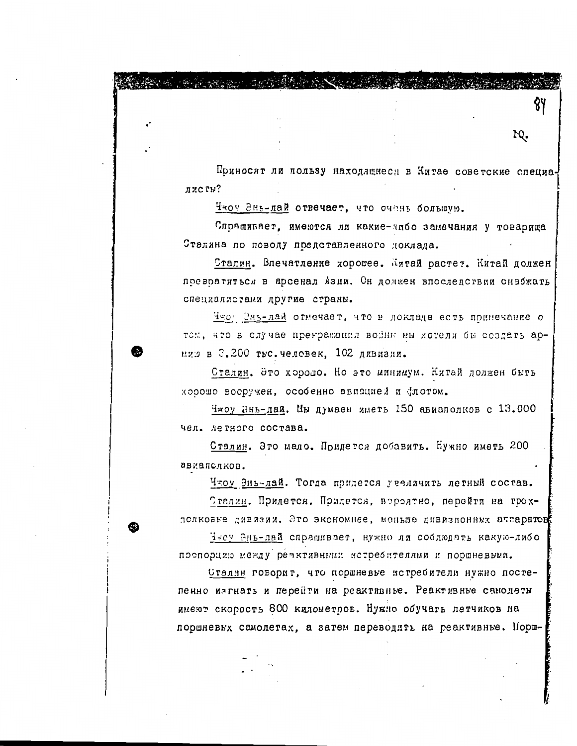Поиносят ли пользу находящиеся в Китае советские специалисты?

10.

Чтоу Энь-лай отвечает, что очень большую.

**Company of the formation of the Company of the Company of the Company of the Company of the Company of the Company** 

Спрашивает, имеются ли какие-чибо замечания у товарища Сталина по поводу представленного доклада.

Сталин. Впечатление хорошее. Интай растет. Китай должен поевоатиться в арсенал Азии. Он должен впоследствии снабжать специалистами другие страны.

Чеоу Энь-лай отмечает, что в докладе есть принечание о том, что в случае прегражения войны мы хотели бы создать ариию в 3.200 тыс. человек, 102 дивизии.

Сталин. Это хорошо. Но это минимум. Китай должен быть хорошо восручен, особенно авивцией и флотом.

Чжоу Энь-лай. Мы думаем яметь 150 авиаполков с 13.000 чел. летного состава.

Сталин. Это мало. Придется добавить. Нужно иметь 200 авиапслков.

Чтоу Энь-лай. Тогда придется увеличить летный состав.

Сталин. Придется. Придется, вероятно, перейти на трехполковье дивизия. Это экономнее, меньше дивизионных аптаратов

Чесу Энь-лай спрашивает, нужно ля соблюдать какую-либо поспорцию между реактивными истребителями и поршневыми.

Сталян говорит, что поршневье истребители нужно постепенно изгнать и перейти на реактивные. Реактивные самолеты имеют скорость 800 километров. Нужно обучать летчиков на поршневых самолетах, а затем переводить на реактивные. Порш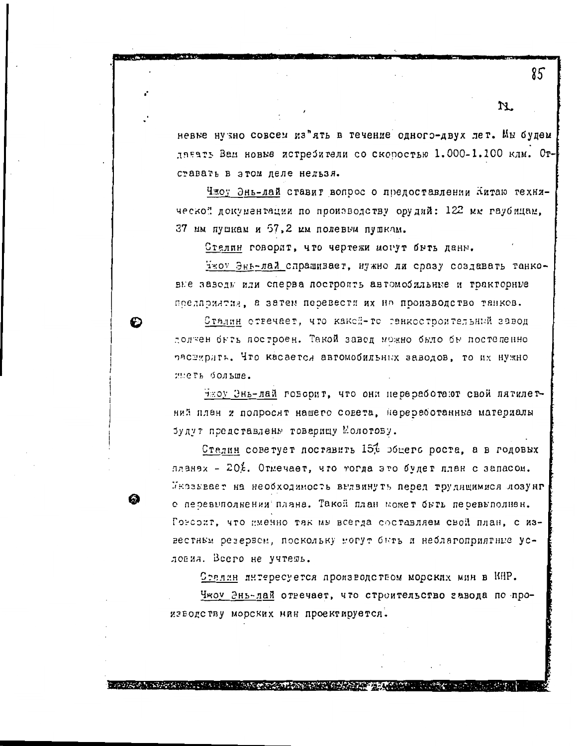невые нузно совсем из"ять в течение одного-двух лет. Мы будем данать Вам новые истребители со скоростью 1.000-1.100 клм. Отставать в этом леле нельзя.

Чжоу Энь-лай ставит вопрос о предоставлении Китаю техняческой документации по производству орудий: 122 мм гаубицам. 37 им пушкам и 57.2 им полевым пушкам.

Стелин говорит, что чертежи могут быть даны.

Чжоу Энь-лай спрашивает, нужно ли сразу создавать танковне заводы или сперва построить автомобильные и тракторные предприятия, а затем перевести их на производство танков.

Сталин ствечает, что какой-то танкостроительный завод должен быть построен. Такой завод можно было бы постепенно растурять. Что касается автомобильных заводов, то их нужно иметь больше.

нтоу Энь-лай говорит, что они переработают свой пятилетний план z попросят нашего совета, перереботанные материалы будут представлены товарищу Молотову.

Сталин советует поставить 15% общего роста, а в годовых лланэх - 20%. Отмечает, что тогда это будет план с запасом. Иназывает на необходимость выдвинуть перед трудящимися лозунг е перевыполнения плана. Такой план может быть перевыполнен. Гомерит, что именно так мы всегда составляем свой план, с известным резервем, поскольку могут быть и неблагоприятные условия. Всего не учтешь.

<u>Сталин</u> интересуется производством морских мин в КНР.

Чтоу Энь-дай отвечает, что строительство завода по производству морских мин проектируется.

is and transitive production of the state of a later stranger and only stranger in the passive trans

85

N.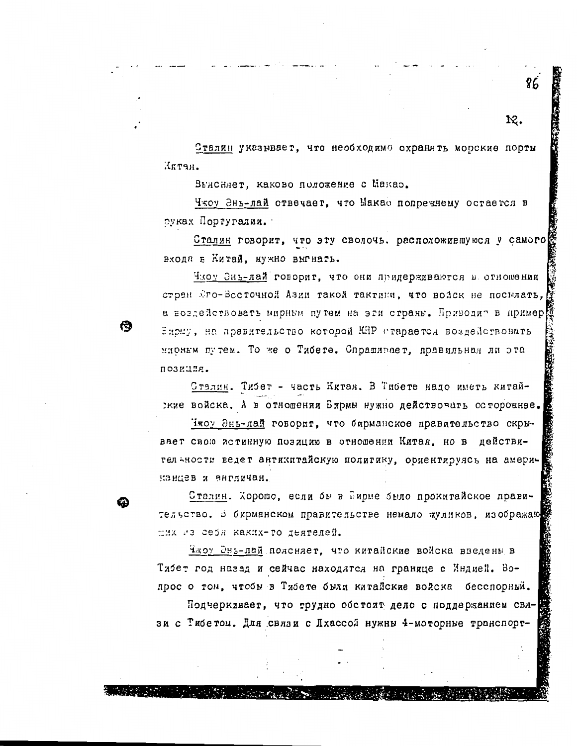Сталин указывает, что необходимо охранять морские порты Иптан.

12.

Выясняет, каково положение с Макао.

冏

Чтоу Энь-лай отвечает, что Макао попретнему остается в руках Португалии.

Сталин говорит, что эту сволочь, расположившуюся у самого входа в Китай, нужно выгнать.

Члоу Энь-лай говорит, что они придерживаются в отношении стран Эго-Восточной Азии такой тактики, что войск не посылать, а воздействовать мирным путем на эти страны. Приводит в пример Бирму, на правительство которой KHP старается воздействовать мионым путем. То же о Тибете. Спрашивает, правильная ли эта лозиция.

Сталин. Тибет - часть Китая. В Тибете надо иметь китайские войска. А в отношении Бирмы нужно действочать осторожнее.

Чжоу Энь-лай говорит, что бирманское правительство скрывает свою истинную позицию в отношении Китая, но в действител жности ведет антикитайскую политику, ориентируясь на американцев и англичан.

Сталин. Хорошо, если бы в Еирме было прокитайское правительство. В бирманском правительстве немало жуликов, изображаю дих из себя каких-го деятелей.

Чжоу Энь-лай поясняет, что китайские войска введены в Тибет год назад и сейчас находится на границе с Индией. Вопрос о том, чтобы в Тибете были китайские войска бесспорный.

Подчеркивает, что трудно обстоит дело с поддержанием связи с Тибетом. Для связи с Лхассой нужны 4-моторные транспорт-